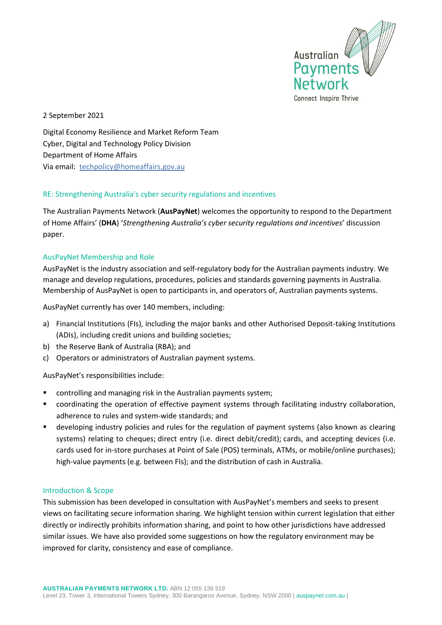

2 September 2021

Digital Economy Resilience and Market Reform Team Cyber, Digital and Technology Policy Division Department of Home Affairs Via email: [techpolicy@homeaffairs.gov.au](mailto:techpolicy@homeaffairs.gov.au)

### RE: Strengthening Australia's cyber security regulations and incentives

The Australian Payments Network (**AusPayNet**) welcomes the opportunity to respond to the Department of Home Affairs' (**DHA**) '*Strengthening Australia's cyber security regulations and incentives*' discussion paper.

### AusPayNet Membership and Role

AusPayNet is the industry association and self-regulatory body for the Australian payments industry. We manage and develop regulations, procedures, policies and standards governing payments in Australia. Membership of AusPayNet is open to participants in, and operators of, Australian payments systems.

AusPayNet currently has over 140 members, including:

- a) Financial Institutions (FIs), including the major banks and other Authorised Deposit-taking Institutions (ADIs), including credit unions and building societies;
- b) the Reserve Bank of Australia (RBA); and
- c) Operators or administrators of Australian payment systems.

AusPayNet's responsibilities include:

- controlling and managing risk in the Australian payments system;
- coordinating the operation of effective payment systems through facilitating industry collaboration, adherence to rules and system-wide standards; and
- **E** developing industry policies and rules for the regulation of payment systems (also known as clearing systems) relating to cheques; direct entry (i.e. direct debit/credit); cards, and accepting devices (i.e. cards used for in-store purchases at Point of Sale (POS) terminals, ATMs, or mobile/online purchases); high-value payments (e.g. between FIs); and the distribution of cash in Australia.

#### Introduction & Scope

This submission has been developed in consultation with AusPayNet's members and seeks to present views on facilitating secure information sharing. We highlight tension within current legislation that either directly or indirectly prohibits information sharing, and point to how other jurisdictions have addressed similar issues. We have also provided some suggestions on how the regulatory environment may be improved for clarity, consistency and ease of compliance.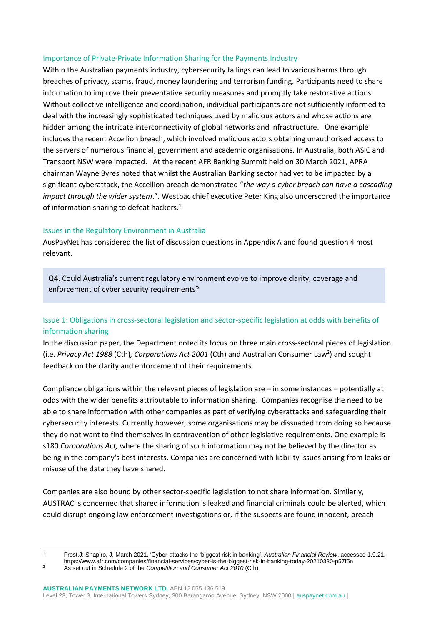#### Importance of Private-Private Information Sharing for the Payments Industry

Within the Australian payments industry, cybersecurity failings can lead to various harms through breaches of privacy, scams, fraud, money laundering and terrorism funding. Participants need to share information to improve their preventative security measures and promptly take restorative actions. Without collective intelligence and coordination, individual participants are not sufficiently informed to deal with the increasingly sophisticated techniques used by malicious actors and whose actions are hidden among the intricate interconnectivity of global networks and infrastructure. One example includes the recent Accellion breach, which involved malicious actors obtaining unauthorised access to the servers of numerous financial, government and academic organisations. In Australia, both ASIC and Transport NSW were impacted. At the recent AFR Banking Summit held on 30 March 2021, APRA chairman Wayne Byres noted that whilst the Australian Banking sector had yet to be impacted by a significant cyberattack, the Accellion breach demonstrated "*the way a cyber breach can have a cascading impact through the wider system*.". Westpac chief executive Peter King also underscored the importance of information sharing to defeat hackers.<sup>1</sup>

#### Issues in the Regulatory Environment in Australia

AusPayNet has considered the list of discussion questions in Appendix A and found question 4 most relevant.

Q4. Could Australia's current regulatory environment evolve to improve clarity, coverage and enforcement of cyber security requirements?

### Issue 1: Obligations in cross-sectoral legislation and sector-specific legislation at odds with benefits of information sharing

In the discussion paper, the Department noted its focus on three main cross-sectoral pieces of legislation (i.e. *Privacy Act 1988* (Cth)*, Corporations Act 2001* (Cth) and Australian Consumer Law<sup>2</sup> ) and sought feedback on the clarity and enforcement of their requirements.

Compliance obligations within the relevant pieces of legislation are – in some instances – potentially at odds with the wider benefits attributable to information sharing. Companies recognise the need to be able to share information with other companies as part of verifying cyberattacks and safeguarding their cybersecurity interests. Currently however, some organisations may be dissuaded from doing so because they do not want to find themselves in contravention of other legislative requirements. One example is s180 *Corporations Act,* where the sharing of such information may not be believed by the director as being in the company's best interests. Companies are concerned with liability issues arising from leaks or misuse of the data they have shared.

Companies are also bound by other sector-specific legislation to not share information. Similarly, AUSTRAC is concerned that shared information is leaked and financial criminals could be alerted, which could disrupt ongoing law enforcement investigations or, if the suspects are found innocent, breach

https://www.afr.com/companies/financial-services/cyber-is-the-biggest-risk-in-banking-today-20210330-p57f5n

<sup>1</sup> Frost,J; Shapiro, J, March 2021, 'Cyber-attacks the 'biggest risk in banking', *Australian Financial Review*, accessed 1.9.21,

<sup>2</sup> As set out in Schedule 2 of the *Competition and Consumer Act 2010* (Cth)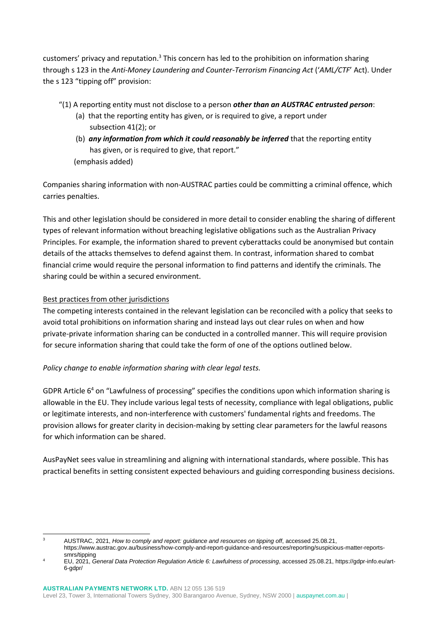customers' privacy and reputation.<sup>3</sup> This concern has led to the prohibition on information sharing through s 123 in the *Anti-Money Laundering and Counter-Terrorism Financing Act* ('*AML/CTF*' Act). Under the s 123 "tipping off" provision:

- "(1) A reporting entity must not disclose to a person *other than an AUSTRAC entrusted person*:
	- (a) that the reporting entity has given, or is required to give, a report under subsection 41(2); or
	- (b) *any information from which it could reasonably be inferred* that the reporting entity has given, or is required to give, that report." (emphasis added)

Companies sharing information with non-AUSTRAC parties could be committing a criminal offence, which carries penalties.

This and other legislation should be considered in more detail to consider enabling the sharing of different types of relevant information without breaching legislative obligations such as the Australian Privacy Principles. For example, the information shared to prevent cyberattacks could be anonymised but contain details of the attacks themselves to defend against them. In contrast, information shared to combat financial crime would require the personal information to find patterns and identify the criminals. The sharing could be within a secured environment.

# Best practices from other jurisdictions

The competing interests contained in the relevant legislation can be reconciled with a policy that seeks to avoid total prohibitions on information sharing and instead lays out clear rules on when and how private-private information sharing can be conducted in a controlled manner. This will require provision for secure information sharing that could take the form of one of the options outlined below.

# *Policy change to enable information sharing with clear legal tests.*

GDPR Article  $6<sup>4</sup>$  on "Lawfulness of processing" specifies the conditions upon which information sharing is allowable in the EU. They include various legal tests of necessity, compliance with legal obligations, public or legitimate interests, and non-interference with customers' fundamental rights and freedoms. The provision allows for greater clarity in decision-making by setting clear parameters for the lawful reasons for which information can be shared.

AusPayNet sees value in streamlining and aligning with international standards, where possible. This has practical benefits in setting consistent expected behaviours and guiding corresponding business decisions.

<sup>3</sup> AUSTRAC, 2021, *How to comply and report: guidance and resources on tipping off*, accessed 25.08.21, https://www.austrac.gov.au/business/how-comply-and-report-guidance-and-resources/reporting/suspicious-matter-reportssmrs/tipping

<sup>4</sup> EU, 2021, *General Data Protection Regulation Article 6: Lawfulness of processing*, accessed 25.08.21, https://gdpr-info.eu/art-6-gdpr/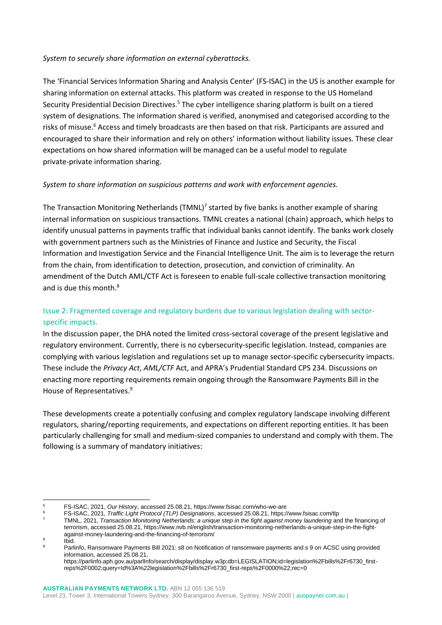#### *System to securely share information on external cyberattacks.*

The 'Financial Services Information Sharing and Analysis Center' (FS-ISAC) in the US is another example for sharing information on external attacks. This platform was created in response to the US Homeland Security Presidential Decision Directives.<sup>5</sup> The cyber intelligence sharing platform is built on a tiered system of designations. The information shared is verified, anonymised and categorised according to the risks of misuse.<sup>6</sup> Access and timely broadcasts are then based on that risk. Participants are assured and encouraged to share their information and rely on others' information without liability issues. These clear expectations on how shared information will be managed can be a useful model to regulate private-private information sharing.

### *System to share information on suspicious patterns and work with enforcement agencies.*

The Transaction Monitoring Netherlands (TMNL)<sup>7</sup> started by five banks is another example of sharing internal information on suspicious transactions. TMNL creates a national (chain) approach, which helps to identify unusual patterns in payments traffic that individual banks cannot identify. The banks work closely with government partners such as the Ministries of Finance and Justice and Security, the Fiscal Information and Investigation Service and the Financial Intelligence Unit. The aim is to leverage the return from the chain, from identification to detection, prosecution, and conviction of criminality. An amendment of the Dutch AML/CTF Act is foreseen to enable full-scale collective transaction monitoring and is due this month. 8

# Issue 2: Fragmented coverage and regulatory burdens due to various legislation dealing with sectorspecific impacts.

In the discussion paper, the DHA noted the limited cross-sectoral coverage of the present legislative and regulatory environment. Currently, there is no cybersecurity-specific legislation. Instead, companies are complying with various legislation and regulations set up to manage sector-specific cybersecurity impacts. These include the *Privacy Act*, *AML/CTF* Act, and APRA's Prudential Standard CPS 234. Discussions on enacting more reporting requirements remain ongoing through the Ransomware Payments Bill in the House of Representatives.<sup>9</sup>

These developments create a potentially confusing and complex regulatory landscape involving different regulators, sharing/reporting requirements, and expectations on different reporting entities. It has been particularly challenging for small and medium-sized companies to understand and comply with them. The following is a summary of mandatory initiatives:

8 Ibid.

<sup>5</sup> FS-ISAC, 2021, *Our History*, accessed 25.08.21, https://www.fsisac.com/who-we-are

<sup>6</sup> FS-ISAC, 2021, *Traffic Light Protocol (TLP) Designations*, accessed 25.08.21, https://www.fsisac.com/tlp

<sup>7</sup> TMNL, 2021, *Transaction Monitoring Netherlands: a unique step in the fight against money laundering* and the financing of terrorism, accessed 25.08.21, https://www.nvb.nl/english/transaction-monitoring-netherlands-a-unique-step-in-the-fightagainst-money-laundering-and-the-financing-of-terrorism/

Parlinfo, Ransomware Payments Bill 2021: s8 on Notification of ransomware payments and s 9 on ACSC using provided information, accessed 25.08.21,

https://parlinfo.aph.gov.au/parlInfo/search/display/display.w3p;db=LEGISLATION;id=legislation%2Fbills%2Fr6730\_firstreps%2F0002;query=Id%3A%22legislation%2Fbills%2Fr6730\_first-reps%2F0000%22;rec=0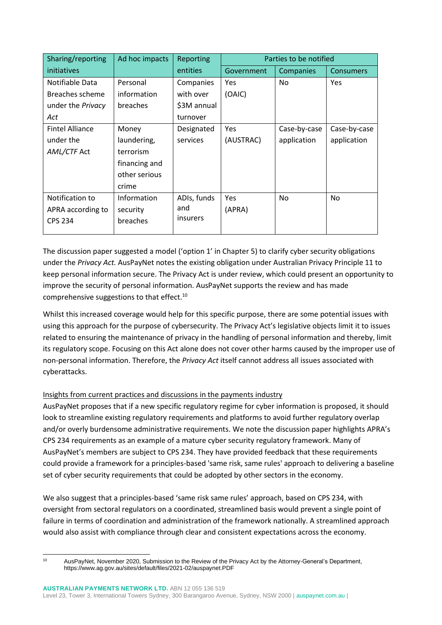| Sharing/reporting      | Ad hoc impacts | Reporting       | Parties to be notified |              |              |
|------------------------|----------------|-----------------|------------------------|--------------|--------------|
| initiatives            |                | entities        | Government             | Companies    | Consumers    |
| Notifiable Data        | Personal       | Companies       | Yes                    | No           | Yes          |
| Breaches scheme        | information    | with over       | (OAIC)                 |              |              |
| under the Privacy      | breaches       | \$3M annual     |                        |              |              |
| Act                    |                | turnover        |                        |              |              |
| <b>Fintel Alliance</b> | Money          | Designated      | Yes                    | Case-by-case | Case-by-case |
| under the              | laundering,    | services        | (AUSTRAC)              | application  | application  |
| AML/CTF Act            | terrorism      |                 |                        |              |              |
|                        | financing and  |                 |                        |              |              |
|                        | other serious  |                 |                        |              |              |
|                        | crime          |                 |                        |              |              |
| Notification to        | Information    | ADIs, funds     | Yes                    | No           | No.          |
| APRA according to      | security       | and             | (APRA)                 |              |              |
| <b>CPS 234</b>         | breaches       | <i>insurers</i> |                        |              |              |
|                        |                |                 |                        |              |              |

The discussion paper suggested a model ('option 1' in Chapter 5) to clarify cyber security obligations under the *Privacy Act.* AusPayNet notes the existing obligation under Australian Privacy Principle 11 to keep personal information secure. The Privacy Act is under review, which could present an opportunity to improve the security of personal information. AusPayNet supports the review and has made comprehensive suggestions to that effect. $^{10}$ 

Whilst this increased coverage would help for this specific purpose, there are some potential issues with using this approach for the purpose of cybersecurity. The Privacy Act's legislative objects limit it to issues related to ensuring the maintenance of privacy in the handling of personal information and thereby, limit its regulatory scope. Focusing on this Act alone does not cover other harms caused by the improper use of non-personal information. Therefore, the *Privacy Act* itself cannot address all issues associated with cyberattacks.

# Insights from current practices and discussions in the payments industry

AusPayNet proposes that if a new specific regulatory regime for cyber information is proposed, it should look to streamline existing regulatory requirements and platforms to avoid further regulatory overlap and/or overly burdensome administrative requirements. We note the discussion paper highlights APRA's CPS 234 requirements as an example of a mature cyber security regulatory framework. Many of AusPayNet's members are subject to CPS 234. They have provided feedback that these requirements could provide a framework for a principles-based 'same risk, same rules' approach to delivering a baseline set of cyber security requirements that could be adopted by other sectors in the economy.

We also suggest that a principles-based 'same risk same rules' approach, based on CPS 234, with oversight from sectoral regulators on a coordinated, streamlined basis would prevent a single point of failure in terms of coordination and administration of the framework nationally. A streamlined approach would also assist with compliance through clear and consistent expectations across the economy.

<sup>10</sup> AusPayNet, November 2020, Submission to the Review of the Privacy Act by the Attorney-General's Department, https://www.ag.gov.au/sites/default/files/2021-02/auspaynet.PDF